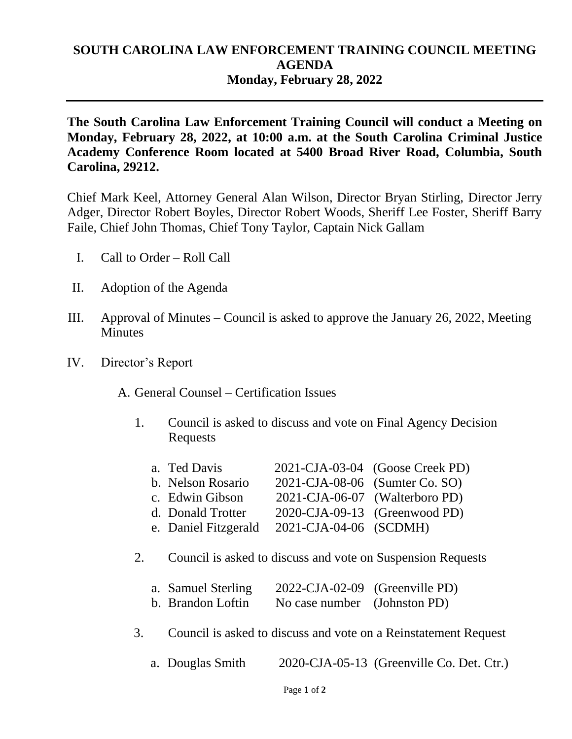## **SOUTH CAROLINA LAW ENFORCEMENT TRAINING COUNCIL MEETING AGENDA Monday, February 28, 2022**

**The South Carolina Law Enforcement Training Council will conduct a Meeting on Monday, February 28, 2022, at 10:00 a.m. at the South Carolina Criminal Justice Academy Conference Room located at 5400 Broad River Road, Columbia, South Carolina, 29212.** 

Chief Mark Keel, Attorney General Alan Wilson, Director Bryan Stirling, Director Jerry Adger, Director Robert Boyles, Director Robert Woods, Sheriff Lee Foster, Sheriff Barry Faile, Chief John Thomas, Chief Tony Taylor, Captain Nick Gallam

- I. Call to Order Roll Call
- II. Adoption of the Agenda
- III. Approval of Minutes Council is asked to approve the January 26, 2022, Meeting **Minutes**
- IV. Director's Report

A. General Counsel – Certification Issues

1. Council is asked to discuss and vote on Final Agency Decision Requests

| a. Ted Davis         |                                | 2021-CJA-03-04 (Goose Creek PD) |
|----------------------|--------------------------------|---------------------------------|
| b. Nelson Rosario    | 2021-CJA-08-06 (Sumter Co. SO) |                                 |
| c. Edwin Gibson      |                                | 2021-CJA-06-07 (Walterboro PD)  |
| d. Donald Trotter    |                                | 2020-CJA-09-13 (Greenwood PD)   |
| e. Daniel Fitzgerald | 2021-CJA-04-06 (SCDMH)         |                                 |

2. Council is asked to discuss and vote on Suspension Requests

| a. Samuel Sterling | 2022-CJA-02-09 (Greenville PD) |  |
|--------------------|--------------------------------|--|
| b. Brandon Loftin  | No case number (Johnston PD)   |  |

- 3. Council is asked to discuss and vote on a Reinstatement Request
	- a. Douglas Smith 2020-CJA-05-13 (Greenville Co. Det. Ctr.)